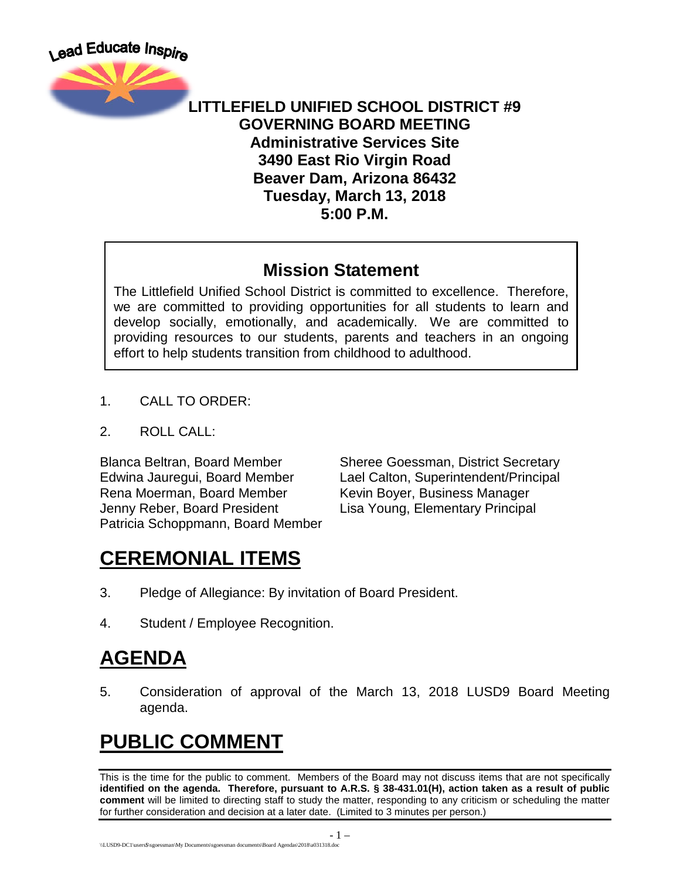

#### **LITTLEFIELD UNIFIED SCHOOL DISTRICT #9 GOVERNING BOARD MEETING Administrative Services Site 3490 East Rio Virgin Road Beaver Dam, Arizona 86432 Tuesday, March 13, 2018 5:00 P.M.**

### **Mission Statement**

The Littlefield Unified School District is committed to excellence. Therefore, we are committed to providing opportunities for all students to learn and develop socially, emotionally, and academically. We are committed to providing resources to our students, parents and teachers in an ongoing effort to help students transition from childhood to adulthood.

- 1. CALL TO ORDER:
- 2. ROLL CALL:

Rena Moerman, Board Member Kevin Boyer, Business Manager Jenny Reber, Board President Lisa Young, Elementary Principal Patricia Schoppmann, Board Member

Blanca Beltran, Board Member Sheree Goessman, District Secretary Edwina Jauregui, Board Member Lael Calton, Superintendent/Principal

## **CEREMONIAL ITEMS**

- 3. Pledge of Allegiance: By invitation of Board President.
- 4. Student / Employee Recognition.

## **AGENDA**

5. Consideration of approval of the March 13, 2018 LUSD9 Board Meeting agenda.

## **PUBLIC COMMENT**

This is the time for the public to comment. Members of the Board may not discuss items that are not specifically **identified on the agenda. Therefore, pursuant to A.R.S. § 38-431.01(H), action taken as a result of public comment** will be limited to directing staff to study the matter, responding to any criticism or scheduling the matter for further consideration and decision at a later date. (Limited to 3 minutes per person.)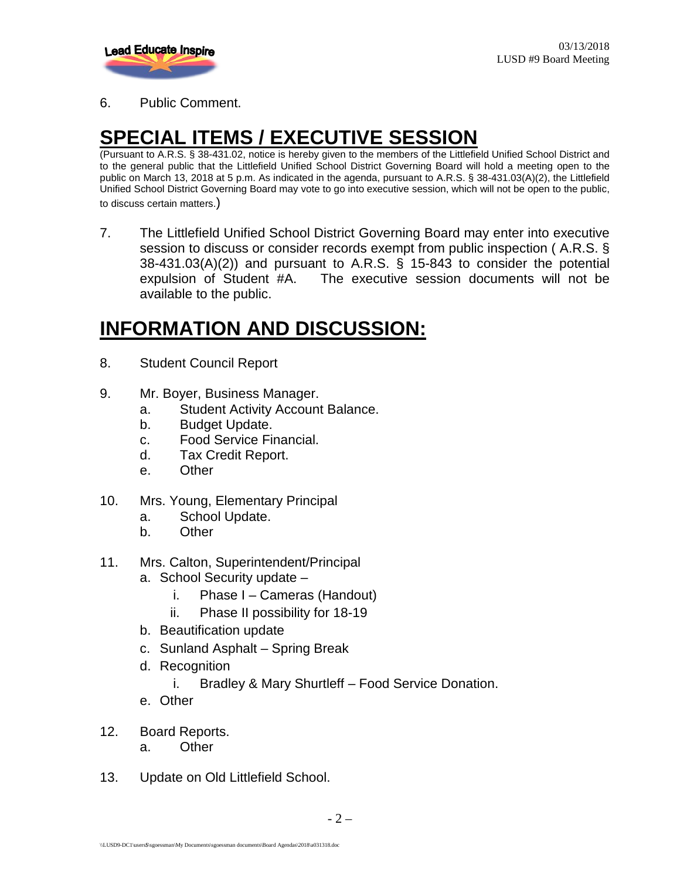

6. Public Comment.

# **SPECIAL ITEMS / EXECUTIVE SESSION**

(Pursuant to A.R.S. § 38-431.02, notice is hereby given to the members of the Littlefield Unified School District and to the general public that the Littlefield Unified School District Governing Board will hold a meeting open to the public on March 13, 2018 at 5 p.m. As indicated in the agenda, pursuant to A.R.S. § 38-431.03(A)(2), the Littlefield Unified School District Governing Board may vote to go into executive session, which will not be open to the public, to discuss certain matters.)

7. The Littlefield Unified School District Governing Board may enter into executive session to discuss or consider records exempt from public inspection ( A.R.S. § 38-431.03(A)(2)) and pursuant to A.R.S. § 15-843 to consider the potential expulsion of Student #A. The executive session documents will not be available to the public.

## **INFORMATION AND DISCUSSION:**

- 8. Student Council Report
- 9. Mr. Boyer, Business Manager.
	- a. Student Activity Account Balance.
	- b. Budget Update.
	- c. Food Service Financial.
	- d. Tax Credit Report.
	- e. Other
- 10. Mrs. Young, Elementary Principal
	- a. School Update.
	- b. Other
- 11. Mrs. Calton, Superintendent/Principal
	- a. School Security update
		- i. Phase I Cameras (Handout)
		- ii. Phase II possibility for 18-19
	- b. Beautification update
	- c. Sunland Asphalt Spring Break
	- d. Recognition
		- i. Bradley & Mary Shurtleff Food Service Donation.
	- e. Other
- 12. Board Reports.
	- a. Other
- 13. Update on Old Littlefield School.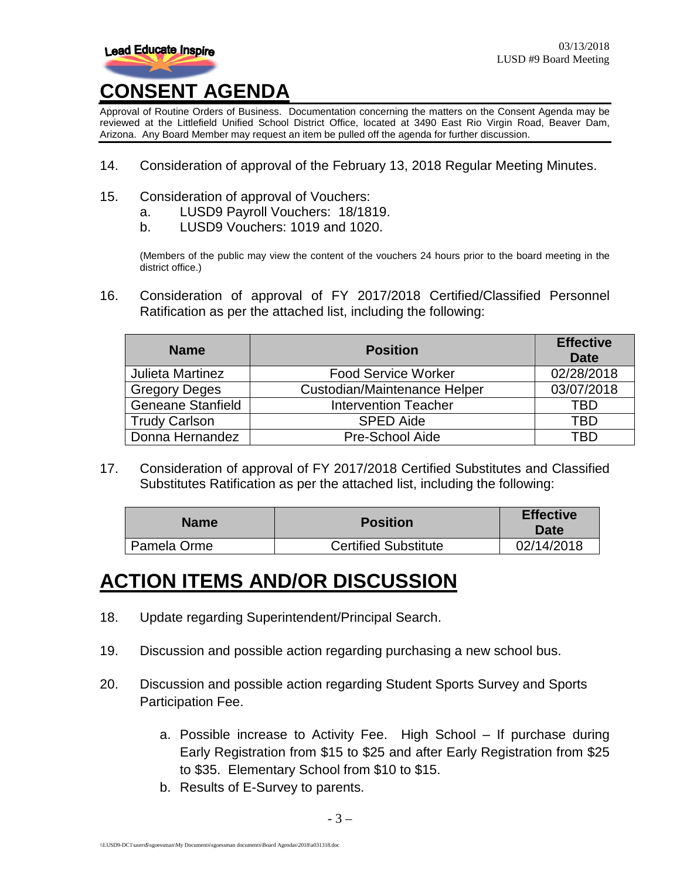

Approval of Routine Orders of Business. Documentation concerning the matters on the Consent Agenda may be reviewed at the Littlefield Unified School District Office, located at 3490 East Rio Virgin Road, Beaver Dam, Arizona. Any Board Member may request an item be pulled off the agenda for further discussion.

- 14. Consideration of approval of the February 13, 2018 Regular Meeting Minutes.
- 15. Consideration of approval of Vouchers:
	- a. LUSD9 Payroll Vouchers: 18/1819.
	- b. LUSD9 Vouchers: 1019 and 1020.

(Members of the public may view the content of the vouchers 24 hours prior to the board meeting in the district office.)

16. Consideration of approval of FY 2017/2018 Certified/Classified Personnel Ratification as per the attached list, including the following:

| <b>Name</b>              | <b>Position</b>              | <b>Effective</b><br><b>Date</b> |
|--------------------------|------------------------------|---------------------------------|
| Julieta Martinez         | <b>Food Service Worker</b>   | 02/28/2018                      |
| <b>Gregory Deges</b>     | Custodian/Maintenance Helper | 03/07/2018                      |
| <b>Geneane Stanfield</b> | <b>Intervention Teacher</b>  | TBD                             |
| <b>Trudy Carlson</b>     | <b>SPED Aide</b>             | TBD                             |
| Donna Hernandez          | Pre-School Aide              | TRN                             |

17. Consideration of approval of FY 2017/2018 Certified Substitutes and Classified Substitutes Ratification as per the attached list, including the following:

| <b>Name</b> | <b>Position</b>             | <b>Effective</b><br><b>Date</b> |
|-------------|-----------------------------|---------------------------------|
| Pamela Orme | <b>Certified Substitute</b> | 02/14/2018                      |

### **ACTION ITEMS AND/OR DISCUSSION**

- 18. Update regarding Superintendent/Principal Search.
- 19. Discussion and possible action regarding purchasing a new school bus.
- 20. Discussion and possible action regarding Student Sports Survey and Sports Participation Fee.
	- a. Possible increase to Activity Fee. High School If purchase during Early Registration from \$15 to \$25 and after Early Registration from \$25 to \$35. Elementary School from \$10 to \$15.
	- b. Results of E-Survey to parents.